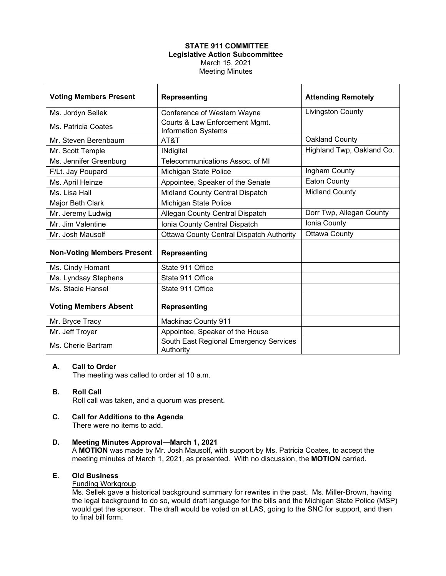# **STATE 911 COMMITTEE Legislative Action Subcommittee** March 15, 2021 Meeting Minutes

| <b>Voting Members Present</b>     | <b>Representing</b>                                          | <b>Attending Remotely</b> |
|-----------------------------------|--------------------------------------------------------------|---------------------------|
| Ms. Jordyn Sellek                 | Conference of Western Wayne                                  | <b>Livingston County</b>  |
| Ms. Patricia Coates               | Courts & Law Enforcement Mgmt.<br><b>Information Systems</b> |                           |
| Mr. Steven Berenbaum              | AT&T                                                         | Oakland County            |
| Mr. Scott Temple                  | <b>INdigital</b>                                             | Highland Twp, Oakland Co. |
| Ms. Jennifer Greenburg            | Telecommunications Assoc, of MI                              |                           |
| F/Lt. Jay Poupard                 | Michigan State Police                                        | Ingham County             |
| Ms. April Heinze                  | Appointee, Speaker of the Senate                             | <b>Eaton County</b>       |
| Ms. Lisa Hall                     | Midland County Central Dispatch                              | <b>Midland County</b>     |
| Major Beth Clark                  | Michigan State Police                                        |                           |
| Mr. Jeremy Ludwig                 | Allegan County Central Dispatch                              | Dorr Twp, Allegan County  |
| Mr. Jim Valentine                 | Ionia County Central Dispatch                                | Ionia County              |
| Mr. Josh Mausolf                  | <b>Ottawa County Central Dispatch Authority</b>              | <b>Ottawa County</b>      |
| <b>Non-Voting Members Present</b> | <b>Representing</b>                                          |                           |
| Ms. Cindy Homant                  | State 911 Office                                             |                           |
| Ms. Lyndsay Stephens              | State 911 Office                                             |                           |
| Ms. Stacie Hansel                 | State 911 Office                                             |                           |
| <b>Voting Members Absent</b>      | <b>Representing</b>                                          |                           |
| Mr. Bryce Tracy                   | <b>Mackinac County 911</b>                                   |                           |
| Mr. Jeff Troyer                   | Appointee, Speaker of the House                              |                           |
| Ms. Cherie Bartram                | South East Regional Emergency Services<br>Authority          |                           |

#### **A. Call to Order**

The meeting was called to order at 10 a.m.

# **B. Roll Call**

Roll call was taken, and a quorum was present.

#### **C. Call for Additions to the Agenda** There were no items to add.

#### **D. Meeting Minutes Approval—March 1, 2021**

A **MOTION** was made by Mr. Josh Mausolf, with support by Ms. Patricia Coates, to accept the meeting minutes of March 1, 2021, as presented. With no discussion, the **MOTION** carried.

# **E. Old Business**

## Funding Workgroup

Ms. Sellek gave a historical background summary for rewrites in the past. Ms. Miller-Brown, having the legal background to do so, would draft language for the bills and the Michigan State Police (MSP) would get the sponsor. The draft would be voted on at LAS, going to the SNC for support, and then to final bill form.